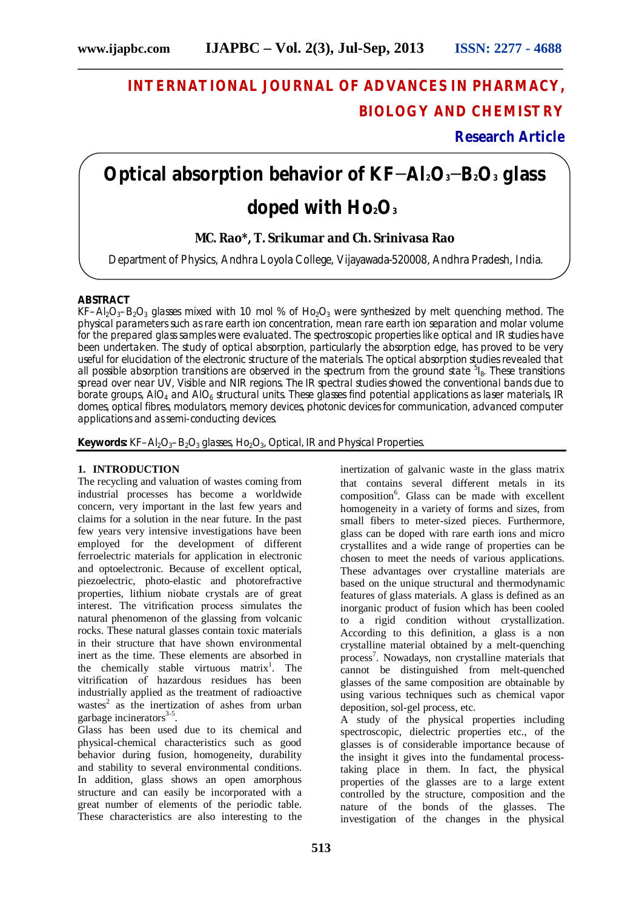# **INTERNATIONAL JOURNAL OF ADVANCES IN PHARMACY, BIOLOGY AND CHEMISTRY**

**Research Article**

# **Optical absorption behavior of KF−Al2O3−B2O<sup>3</sup> glass doped with Ho2O<sup>3</sup>**

## **MC. Rao\*, T. Srikumar and Ch. Srinivasa Rao**

Department of Physics, Andhra Loyola College, Vijayawada-520008, Andhra Pradesh, India.

#### **ABSTRACT**

KF–Al<sub>2</sub>O<sub>3</sub>–B<sub>2</sub>O<sub>3</sub> glasses mixed with 1.0 mol % of Ho<sub>2</sub>O<sub>3</sub> were synthesized by melt quenching method. The physical parameters such as rare earth ion concentration, mean rare earth ion separation and molar volume for the prepared glass samples were evaluated. The spectroscopic properties like optical and IR studies have been undertaken. The study of optical absorption, particularly the absorption edge, has proved to be very useful for elucidation of the electronic structure of the materials. The optical absorption studies revealed that all possible absorption transitions are observed in the spectrum from the ground state <sup>5</sup>l<sub>8</sub>. These transitions spread over near UV, Visible and NIR regions. The IR spectral studies showed the conventional bands due to borate groups, AIO<sub>4</sub> and AIO<sub>6</sub> structural units. These glasses find potential applications as laser materials, IR domes, optical fibres, modulators, memory devices, photonic devices for communication, advanced computer applications and as semi-conducting devices.

Keywords: KF-Al<sub>2</sub>O<sub>3</sub>-B<sub>2</sub>O<sub>3</sub> glasses, Ho<sub>2</sub>O<sub>3</sub>, Optical, IR and Physical Properties.

#### **1. INTRODUCTION**

The recycling and valuation of wastes coming from industrial processes has become a worldwide concern, very important in the last few years and claims for a solution in the near future. In the past few years very intensive investigations have been employed for the development of different ferroelectric materials for application in electronic and optoelectronic. Because of excellent optical, piezoelectric, photo-elastic and photorefractive properties, lithium niobate crystals are of great interest. The vitrification process simulates the natural phenomenon of the glassing from volcanic rocks. These natural glasses contain toxic materials in their structure that have shown environmental inert as the time. These elements are absorbed in the chemically stable virtuous matrix<sup>1</sup>. The vitrification of hazardous residues has been industrially applied as the treatment of radioactive wastes<sup>2</sup> as the inertization of ashes from urban garbage incinerators<sup>3-5</sup>.

Glass has been used due to its chemical and physical-chemical characteristics such as good behavior during fusion, homogeneity, durability and stability to several environmental conditions. In addition, glass shows an open amorphous structure and can easily be incorporated with a great number of elements of the periodic table. These characteristics are also interesting to the

inertization of galvanic waste in the glass matrix that contains several different metals in its composition<sup>6</sup>. Glass can be made with excellent homogeneity in a variety of forms and sizes, from small fibers to meter-sized pieces. Furthermore, glass can be doped with rare earth ions and micro crystallites and a wide range of properties can be chosen to meet the needs of various applications. These advantages over crystalline materials are based on the unique structural and thermodynamic features of glass materials. A glass is defined as an inorganic product of fusion which has been cooled to a rigid condition without crystallization. According to this definition, a glass is a non crystalline material obtained by a melt-quenching process<sup>7</sup>. Nowadays, non crystalline materials that cannot be distinguished from melt-quenched glasses of the same composition are obtainable by using various techniques such as chemical vapor deposition, sol-gel process, etc.

A study of the physical properties including spectroscopic, dielectric properties etc., of the glasses is of considerable importance because of the insight it gives into the fundamental processtaking place in them. In fact, the physical properties of the glasses are to a large extent controlled by the structure, composition and the nature of the bonds of the glasses. The investigation of the changes in the physical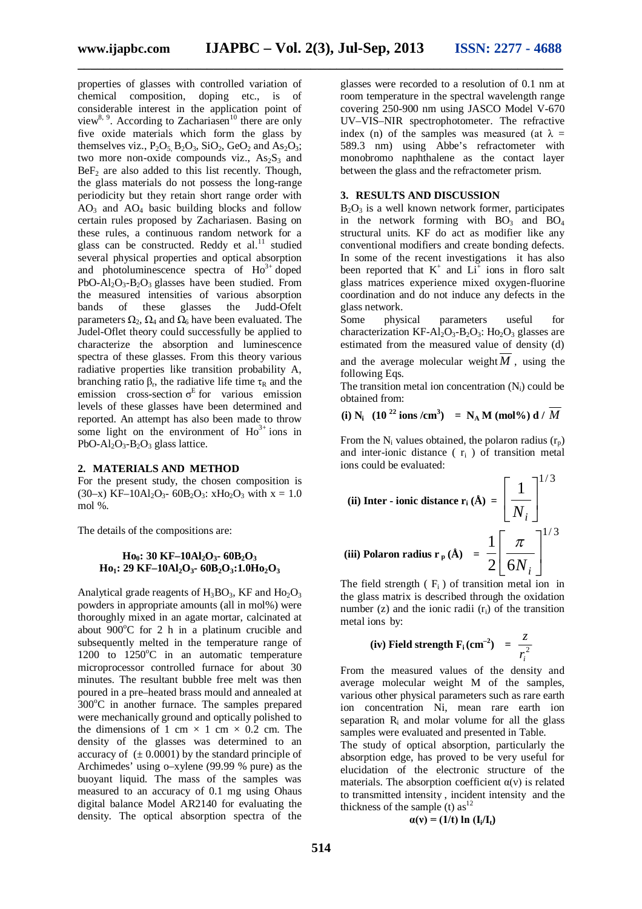**\_\_\_\_\_\_\_\_\_\_\_\_\_\_\_\_\_\_\_\_\_\_\_\_\_\_\_\_\_\_\_\_\_\_\_\_\_\_\_\_\_\_\_\_\_\_\_\_\_\_\_\_\_\_\_\_\_\_\_\_\_\_\_\_\_\_\_\_\_\_\_\_\_\_\_**

properties of glasses with controlled variation of chemical composition, doping etc., is of considerable interest in the application point of view<sup>8, 9</sup>. According to Zachariasen<sup>10</sup> there are only five oxide materials which form the glass by themselves viz.,  $P_2O_5$ ,  $B_2O_3$ ,  $SiO_2$ ,  $GeO_2$  and  $As_2O_3$ ; two more non-oxide compounds viz.,  $As<sub>2</sub>S<sub>3</sub>$  and  $BeF<sub>2</sub>$  are also added to this list recently. Though, the glass materials do not possess the long-range periodicity but they retain short range order with  $AO<sub>3</sub>$  and  $AO<sub>4</sub>$  basic building blocks and follow certain rules proposed by Zachariasen. Basing on these rules, a continuous random network for a glass can be constructed. Reddy et al.<sup>11</sup> studied several physical properties and optical absorption and photoluminescence spectra of  $Ho^{3+}$  doped PbO-Al<sub>2</sub>O<sub>3</sub>-B<sub>2</sub>O<sub>3</sub> glasses have been studied. From the measured intensities of various absorption<br>bands of these glasses the Judd-Ofelt bands of these glasses the parameters  $\Omega_2$ ,  $\Omega_4$  and  $\Omega_6$  have been evaluated. The Judel-Oflet theory could successfully be applied to characterize the absorption and luminescence spectra of these glasses. From this theory various radiative properties like transition probability A, branching ratio  $β_r$ , the radiative life time  $τ_R$  and the emission cross-section  $\sigma^E$  for various emission levels of these glasses have been determined and reported. An attempt has also been made to throw some light on the environment of  $Ho^{3+}$  ions in  $PbO-Al<sub>2</sub>O<sub>3</sub>-B<sub>2</sub>O<sub>3</sub>$  glass lattice.

#### **2. MATERIALS AND METHOD**

For the present study, the chosen composition is (30–x) KF–10Al<sub>2</sub>O<sub>3</sub>- 60B<sub>2</sub>O<sub>3</sub>: xH<sub>O2</sub>O<sub>3</sub> with x = 1.0 mol %.

The details of the compositions are:

#### **Ho0: 30 KF–10Al2O3- 60B2O<sup>3</sup> Ho1: 29 KF–10Al2O3- 60B2O3:1.0Ho2O<sup>3</sup>**

Analytical grade reagents of  $H_3BO_3$ , KF and  $Ho_2O_3$ powders in appropriate amounts (all in mol%) were thoroughly mixed in an agate mortar, calcinated at about  $900^{\circ}$ C for 2 h in a platinum crucible and subsequently melted in the temperature range of 1200 to  $1250^{\circ}$ C in an automatic temperature microprocessor controlled furnace for about 30 minutes. The resultant bubble free melt was then poured in a pre–heated brass mould and annealed at  $300^{\circ}$ C in another furnace. The samples prepared were mechanically ground and optically polished to the dimensions of 1 cm  $\times$  1 cm  $\times$  0.2 cm. The density of the glasses was determined to an accuracy of  $(\pm 0.0001)$  by the standard principle of Archimedes' using o–xylene (99.99 % pure) as the buoyant liquid. The mass of the samples was measured to an accuracy of 0.1 mg using Ohaus digital balance Model AR2140 for evaluating the density. The optical absorption spectra of the

glasses were recorded to a resolution of 0.1 nm at room temperature in the spectral wavelength range covering 250-900 nm using JASCO Model V-670 UV–VIS–NIR spectrophotometer. The refractive index (n) of the samples was measured (at  $\lambda =$ 589.3 nm) using Abbe's refractometer with monobromo naphthalene as the contact layer between the glass and the refractometer prism.

#### **3. RESULTS AND DISCUSSION**

 $B_2O_3$  is a well known network former, participates in the network forming with  $BO_3$  and  $BO_4$ structural units. KF do act as modifier like any conventional modifiers and create bonding defects. In some of the recent investigations it has also been reported that  $K^+$  and  $Li^+$  ions in floro salt glass matrices experience mixed oxygen-fluorine coordination and do not induce any defects in the glass network.<br>Some phys

physical parameters useful for characterization KF-Al<sub>2</sub>O<sub>3</sub>-B<sub>2</sub>O<sub>3</sub>: Ho<sub>2</sub>O<sub>3</sub> glasses are estimated from the measured value of density (d) and the average molecular weight  $M$ , using the following Eqs.

The transition metal ion concentration  $(N_i)$  could be obtained from:

(i) N<sub>i</sub> 
$$
(10^{22} \text{ ions}/\text{cm}^3) = N_A M \text{ (mol%) d} / M
$$

From the N<sub>i</sub> values obtained, the polaron radius  $(r_p)$ and inter-ionic distance  $(\tau_i)$  of transition metal ions could be evaluated:

(ii) Inter - ionic distance 
$$
\mathbf{r}_i (\mathbf{\hat{A}}) = \left[ \frac{1}{N_i} \right]^{1/3}
$$
  
(iii) Polaron radius  $\mathbf{r}_p (\mathbf{\hat{A}}) = \frac{1}{2} \left[ \frac{\pi}{6N_i} \right]^{1/3}$ 

The field strength  $(F_i)$  of transition metal ion in the glass matrix is described through the oxidation number  $(z)$  and the ionic radii  $(r<sub>i</sub>)$  of the transition metal ions by:

(iv) Field strength F<sub>i</sub> (cm<sup>-2</sup>) = 
$$
\frac{z}{r_i^2}
$$

From the measured values of the density and average molecular weight M of the samples, various other physical parameters such as rare earth ion concentration Ni, mean rare earth ion separation  $R_i$  and molar volume for all the glass samples were evaluated and presented in Table.

The study of optical absorption, particularly the absorption edge, has proved to be very useful for elucidation of the electronic structure of the materials. The absorption coefficient  $\alpha(v)$  is related to transmitted intensity , incident intensity and the thickness of the sample (t)  $as<sup>12</sup>$ 

$$
\alpha(v) = (1/t) \ln (I_i/I_t)
$$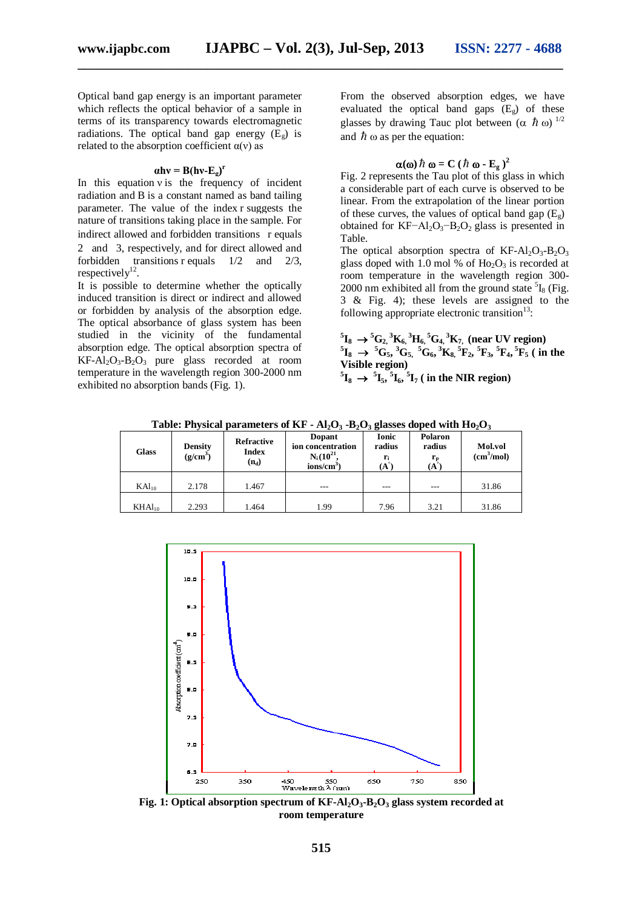**\_\_\_\_\_\_\_\_\_\_\_\_\_\_\_\_\_\_\_\_\_\_\_\_\_\_\_\_\_\_\_\_\_\_\_\_\_\_\_\_\_\_\_\_\_\_\_\_\_\_\_\_\_\_\_\_\_\_\_\_\_\_\_\_\_\_\_\_\_\_\_\_\_\_\_**

Optical band gap energy is an important parameter which reflects the optical behavior of a sample in terms of its transparency towards electromagnetic radiations. The optical band gap energy  $(E_{\varphi})$  is related to the absorption coefficient  $\alpha(v)$  as

### $\alpha$ **hv** = **B**(**hv-E**<sub>g</sub>)<sup>**r**</sup>

In this equation  $v$  is the frequency of incident radiation and B is a constant named as band tailing parameter. The value of the index r suggests the nature of transitions taking place in the sample. For indirect allowed and forbidden transitions r equals 2 and 3, respectively, and for direct allowed and forbidden transitions r equals  $1/2$  and  $2/3$ , respectively $12$ .

It is possible to determine whether the optically induced transition is direct or indirect and allowed or forbidden by analysis of the absorption edge. The optical absorbance of glass system has been studied in the vicinity of the fundamental absorption edge. The optical absorption spectra of  $KF-Al<sub>2</sub>O<sub>3</sub> – B<sub>2</sub>O<sub>3</sub>$  pure glass recorded at room temperature in the wavelength region 300-2000 nm exhibited no absorption bands (Fig. 1).

From the observed absorption edges, we have evaluated the optical band gaps  $(E_{\varphi})$  of these glasses by drawing Tauc plot between  $(\alpha \hbar \omega)^{1/2}$ and  $\hbar \omega$  as per the equation:

$$
\alpha(\omega)\hbar\omega = C(\hbar\omega - E_{g})^{2}
$$

Fig. 2 represents the Tau plot of this glass in which a considerable part of each curve is observed to be linear. From the extrapolation of the linear portion of these curves, the values of optical band gap  $(E_g)$ obtained for KF−Al<sub>2</sub>O<sub>3</sub>−B<sub>2</sub>O<sub>2</sub> glass is presented in Table.

The optical absorption spectra of  $KF-Al<sub>2</sub>O<sub>3</sub>-B<sub>2</sub>O<sub>3</sub>$ glass doped with 1.0 mol % of  $Ho_2O_3$  is recorded at room temperature in the wavelength region 300- 2000 nm exhibited all from the ground state  ${}^{5}I_8$  (Fig. 3 & Fig. 4); these levels are assigned to the following appropriate electronic transition<sup>13</sup>:

 ${}^{5}I_{8} \rightarrow {}^{5}G_{2}$ ,  ${}^{3}K_{6}$ ,  ${}^{3}H_{6}$ ,  ${}^{5}G_{4}$ ,  ${}^{3}K_{7}$ , (near UV region)  ${}^{5}I_{8} \rightarrow {}^{5}G_{5}$ ,  ${}^{3}G_{5}$ ,  ${}^{5}G_{6}$ ,  ${}^{3}K_{8}$ ,  ${}^{5}F_{2}$ ,  ${}^{5}F_{3}$ ,  ${}^{5}F_{4}$ ,  ${}^{5}F_{5}$  ( in the **Visible region)**

 ${}^{5}\text{I}_{8} \rightarrow {}^{5}\text{I}_{5}$ ,  ${}^{5}\text{I}_{6}$ ,  ${}^{5}\text{I}_{7}$  ( in the NIR region)

| <b>Glass</b>      | <b>Density</b><br>$(g/cm^3)$ | Refractive<br><b>Index</b><br>$(n_d)$ | <b>Dopant</b><br>ion concentration<br>$N_i(10^{21}$<br>$ions/cm3$ ) | Ionic<br>radius<br>(A | Polaron<br>radius<br>${\bf r_{\rm n}}$<br>(A | Mol.vol<br>(cm <sup>3</sup> /mol) |
|-------------------|------------------------------|---------------------------------------|---------------------------------------------------------------------|-----------------------|----------------------------------------------|-----------------------------------|
| KAl <sub>10</sub> | 2.178                        | 1.467                                 | ---                                                                 | ---                   | ---                                          | 31.86                             |
| $KHAl_{10}$       | 2.293                        | 1.464                                 | 1.99                                                                | 7.96                  | 3.21                                         | 31.86                             |

**Table: Physical parameters of KF - Al2O<sup>3</sup> -B2O<sup>3</sup> glasses doped with Ho2O<sup>3</sup>**



**Fig. 1: Optical absorption spectrum of KF-Al2O3-B2O<sup>3</sup> glass system recorded at room temperature**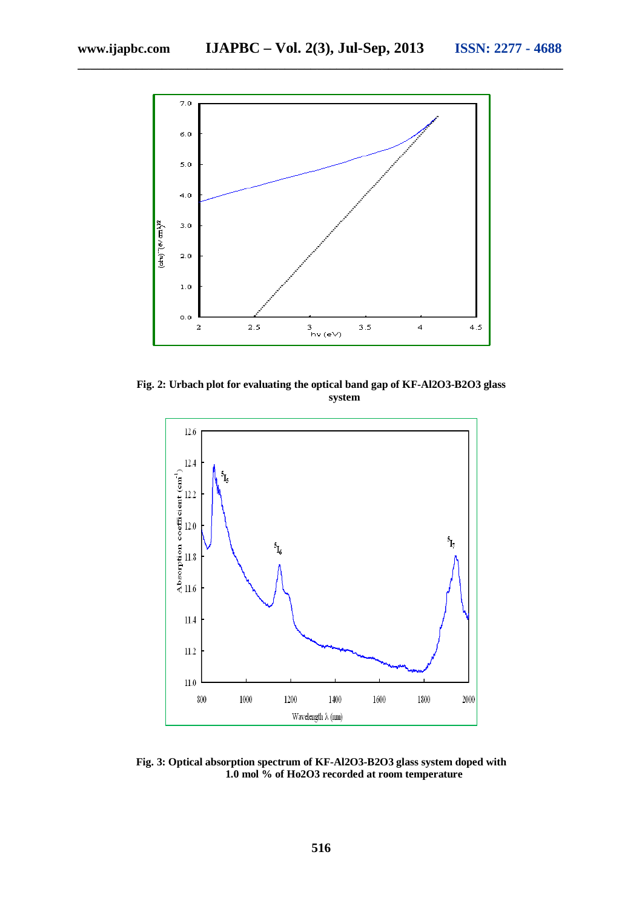

**\_\_\_\_\_\_\_\_\_\_\_\_\_\_\_\_\_\_\_\_\_\_\_\_\_\_\_\_\_\_\_\_\_\_\_\_\_\_\_\_\_\_\_\_\_\_\_\_\_\_\_\_\_\_\_\_\_\_\_\_\_\_\_\_\_\_\_\_\_\_\_\_\_\_\_**

**Fig. 2: Urbach plot for evaluating the optical band gap of KF-Al2O3-B2O3 glass system**



**Fig. 3: Optical absorption spectrum of KF-Al2O3-B2O3 glass system doped with 1.0 mol % of Ho2O3 recorded at room temperature**